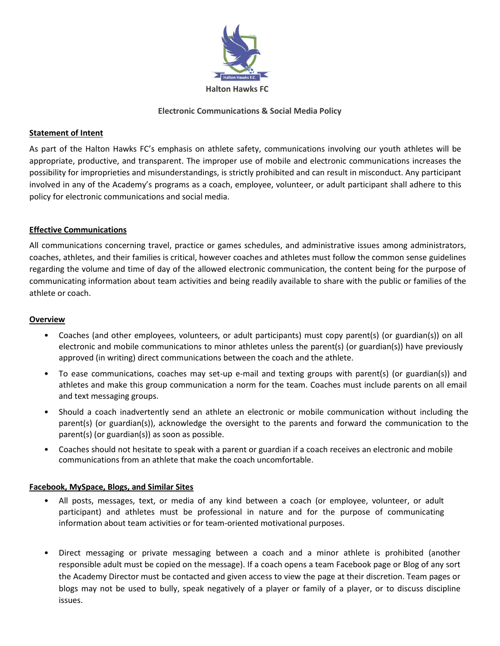

## **Electronic Communications & Social Media Policy**

# **Statement of Intent**

As part of the Halton Hawks FC's emphasis on athlete safety, communications involving our youth athletes will be appropriate, productive, and transparent. The improper use of mobile and electronic communications increases the possibility for improprieties and misunderstandings, is strictly prohibited and can result in misconduct. Any participant involved in any of the Academy's programs as a coach, employee, volunteer, or adult participant shall adhere to this policy for electronic communications and social media.

## **Effective Communications**

All communications concerning travel, practice or games schedules, and administrative issues among administrators, coaches, athletes, and their families is critical, however coaches and athletes must follow the common sense guidelines regarding the volume and time of day of the allowed electronic communication, the content being for the purpose of communicating information about team activities and being readily available to share with the public or families of the athlete or coach.

#### **Overview**

- Coaches (and other employees, volunteers, or adult participants) must copy parent(s) (or guardian(s)) on all electronic and mobile communications to minor athletes unless the parent(s) (or guardian(s)) have previously approved (in writing) direct communications between the coach and the athlete.
- To ease communications, coaches may set-up e-mail and texting groups with parent(s) (or guardian(s)) and athletes and make this group communication a norm for the team. Coaches must include parents on all email and text messaging groups.
- Should a coach inadvertently send an athlete an electronic or mobile communication without including the parent(s) (or guardian(s)), acknowledge the oversight to the parents and forward the communication to the parent(s) (or guardian(s)) as soon as possible.
- Coaches should not hesitate to speak with a parent or guardian if a coach receives an electronic and mobile communications from an athlete that make the coach uncomfortable.

## **Facebook, MySpace, Blogs, and Similar Sites**

- All posts, messages, text, or media of any kind between a coach (or employee, volunteer, or adult participant) and athletes must be professional in nature and for the purpose of communicating information about team activities or for team-oriented motivational purposes.
- Direct messaging or private messaging between a coach and a minor athlete is prohibited (another responsible adult must be copied on the message). If a coach opens a team Facebook page or Blog of any sort the Academy Director must be contacted and given access to view the page at their discretion. Team pages or blogs may not be used to bully, speak negatively of a player or family of a player, or to discuss discipline issues.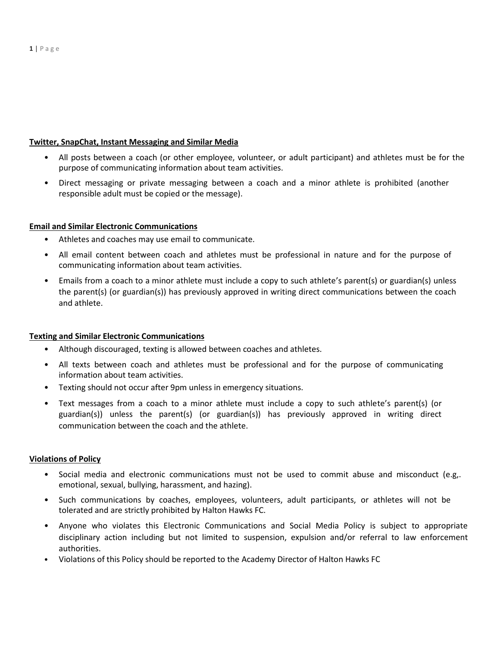#### **Twitter, SnapChat, Instant Messaging and Similar Media**

- All posts between a coach (or other employee, volunteer, or adult participant) and athletes must be for the purpose of communicating information about team activities.
- Direct messaging or private messaging between a coach and a minor athlete is prohibited (another responsible adult must be copied or the message).

## **Email and Similar Electronic Communications**

- Athletes and coaches may use email to communicate.
- All email content between coach and athletes must be professional in nature and for the purpose of communicating information about team activities.
- Emails from a coach to a minor athlete must include a copy to such athlete's parent(s) or guardian(s) unless the parent(s) (or guardian(s)) has previously approved in writing direct communications between the coach and athlete.

## **Texting and Similar Electronic Communications**

- Although discouraged, texting is allowed between coaches and athletes.
- All texts between coach and athletes must be professional and for the purpose of communicating information about team activities.
- Texting should not occur after 9pm unless in emergency situations.
- Text messages from a coach to a minor athlete must include a copy to such athlete's parent(s) (or guardian(s)) unless the parent(s) (or guardian(s)) has previously approved in writing direct communication between the coach and the athlete.

#### **Violations of Policy**

- Social media and electronic communications must not be used to commit abuse and misconduct (e.g,. emotional, sexual, bullying, harassment, and hazing).
- Such communications by coaches, employees, volunteers, adult participants, or athletes will not be tolerated and are strictly prohibited by Halton Hawks FC.
- Anyone who violates this Electronic Communications and Social Media Policy is subject to appropriate disciplinary action including but not limited to suspension, expulsion and/or referral to law enforcement authorities.
- Violations of this Policy should be reported to the Academy Director of Halton Hawks FC